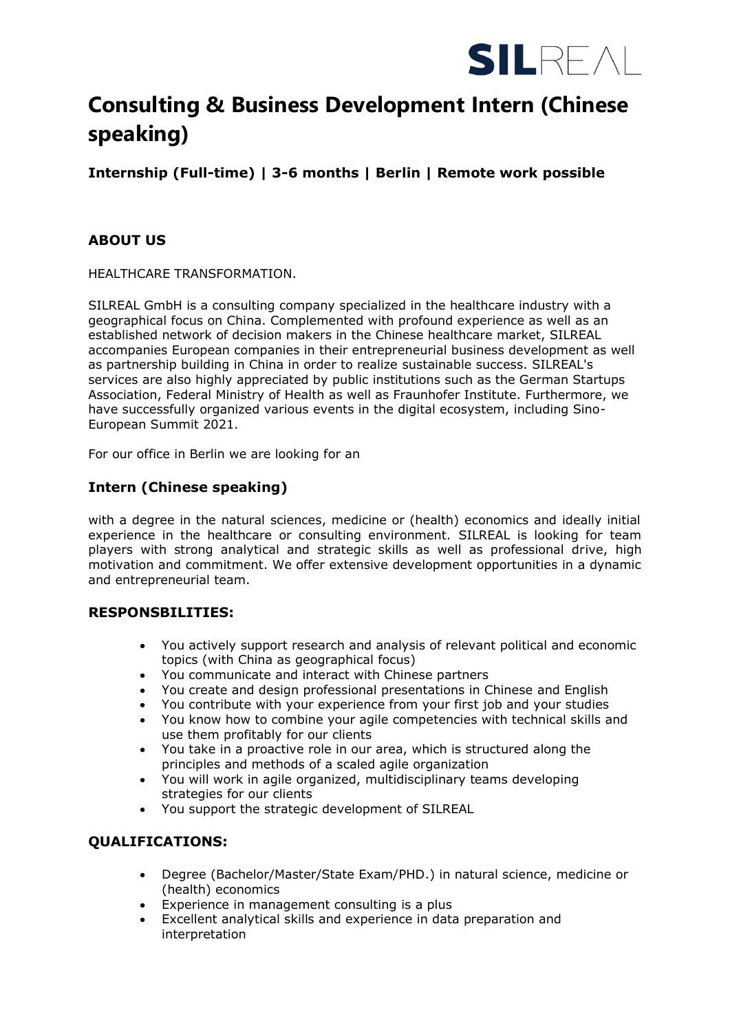

# **Consulting & Business Development Intern (Chinese speaking)**

**Internship (Full-time) | 3-6 months | Berlin | Remote work possible**

## **ABOUT US**

HEALTHCARE TRANSFORMATION.

SILREAL GmbH is a consulting company specialized in the healthcare industry with a geographical focus on China. Complemented with profound experience as well as an established network of decision makers in the Chinese healthcare market, SILREAL accompanies European companies in their entrepreneurial business development as well as partnership building in China in order to realize sustainable success. SILREAL's services are also highly appreciated by public institutions such as the German Startups Association, Federal Ministry of Health as well as Fraunhofer Institute. Furthermore, we have successfully organized various events in the digital ecosystem, including Sino-European Summit 2021.

For our office in Berlin we are looking for an

### **Intern (Chinese speaking)**

with a degree in the natural sciences, medicine or (health) economics and ideally initial experience in the healthcare or consulting environment. SILREAL is looking for team players with strong analytical and strategic skills as well as professional drive, high motivation and commitment. We offer extensive development opportunities in a dynamic and entrepreneurial team.

#### **RESPONSBILITIES:**

- You actively support research and analysis of relevant political and economic topics (with China as geographical focus)
- You communicate and interact with Chinese partners
- You create and design professional presentations in Chinese and English
- You contribute with your experience from your first job and your studies
- You know how to combine your agile competencies with technical skills and use them profitably for our clients
- You take in a proactive role in our area, which is structured along the principles and methods of a scaled agile organization
- You will work in agile organized, multidisciplinary teams developing strategies for our clients
- You support the strategic development of SILREAL

#### **QUALIFICATIONS:**

- Degree (Bachelor/Master/State Exam/PHD.) in natural science, medicine or (health) economics
- Experience in management consulting is a plus
- Excellent analytical skills and experience in data preparation and interpretation